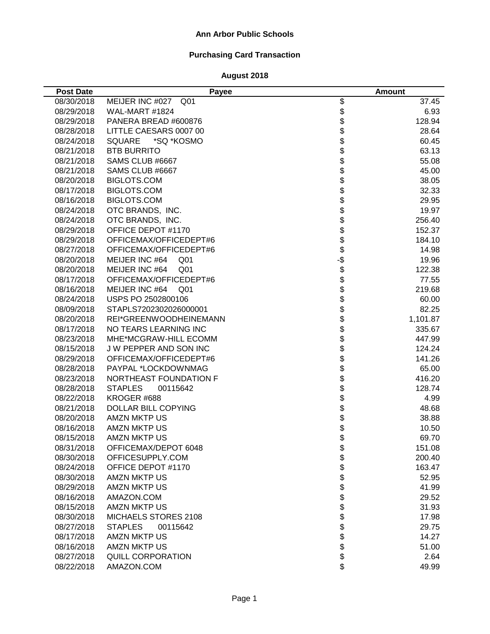## **Ann Arbor Public Schools**

# **Purchasing Card Transaction**

| <b>Post Date</b> | Payee                             |                                   | <b>Amount</b> |
|------------------|-----------------------------------|-----------------------------------|---------------|
| 08/30/2018       | MEIJER INC #027<br>Q01            | $\overline{\mathcal{G}}$          | 37.45         |
| 08/29/2018       | WAL-MART #1824                    | \$                                | 6.93          |
| 08/29/2018       | PANERA BREAD #600876              | \$                                | 128.94        |
| 08/28/2018       | LITTLE CAESARS 0007 00            |                                   | 28.64         |
| 08/24/2018       | <b>SQUARE</b><br>*SQ *KOSMO       |                                   | 60.45         |
| 08/21/2018       | <b>BTB BURRITO</b>                |                                   | 63.13         |
| 08/21/2018       | SAMS CLUB #6667                   |                                   | 55.08         |
| 08/21/2018       | SAMS CLUB #6667                   |                                   | 45.00         |
| 08/20/2018       | BIGLOTS.COM                       |                                   | 38.05         |
| 08/17/2018       | BIGLOTS.COM                       |                                   | 32.33         |
| 08/16/2018       | BIGLOTS.COM                       |                                   | 29.95         |
| 08/24/2018       | OTC BRANDS, INC.                  |                                   | 19.97         |
| 08/24/2018       | OTC BRANDS, INC.                  |                                   | 256.40        |
| 08/29/2018       | OFFICE DEPOT #1170                |                                   | 152.37        |
| 08/29/2018       | OFFICEMAX/OFFICEDEPT#6            |                                   | 184.10        |
| 08/27/2018       | OFFICEMAX/OFFICEDEPT#6            |                                   | 14.98         |
| 08/20/2018       | MEIJER INC #64<br>Q <sub>01</sub> |                                   | 19.96         |
| 08/20/2018       | MEIJER INC #64<br>Q <sub>01</sub> |                                   | 122.38        |
| 08/17/2018       | OFFICEMAX/OFFICEDEPT#6            |                                   | 77.55         |
| 08/16/2018       | MEIJER INC #64<br>Q <sub>01</sub> |                                   | 219.68        |
| 08/24/2018       | USPS PO 2502800106                |                                   | 60.00         |
| 08/09/2018       | STAPLS7202302026000001            |                                   | 82.25         |
| 08/20/2018       | REI*GREENWOODHEINEMANN            |                                   | 1,101.87      |
| 08/17/2018       | NO TEARS LEARNING INC             |                                   | 335.67        |
| 08/23/2018       | MHE*MCGRAW-HILL ECOMM             |                                   | 447.99        |
| 08/15/2018       | J W PEPPER AND SON INC            | ֍֎֎֎֍֎֎֍֎֎֍֎֎֍֎֍֎֍֎֍֎֍֎֍֎֍֎֍֎֍֍֎֍ | 124.24        |
| 08/29/2018       | OFFICEMAX/OFFICEDEPT#6            |                                   | 141.26        |
| 08/28/2018       | PAYPAL *LOCKDOWNMAG               |                                   | 65.00         |
| 08/23/2018       | NORTHEAST FOUNDATION F            |                                   | 416.20        |
| 08/28/2018       | <b>STAPLES</b><br>00115642        |                                   | 128.74        |
| 08/22/2018       | KROGER #688                       |                                   | 4.99          |
| 08/21/2018       | DOLLAR BILL COPYING               |                                   | 48.68         |
| 08/20/2018       | <b>AMZN MKTP US</b>               |                                   | 38.88         |
| 08/16/2018       | <b>AMZN MKTP US</b>               | \$                                | 10.50         |
| 08/15/2018       | AMZN MKTP US                      | \$                                | 69.70         |
| 08/31/2018       | OFFICEMAX/DEPOT 6048              | \$                                | 151.08        |
| 08/30/2018       | OFFICESUPPLY.COM                  |                                   | 200.40        |
| 08/24/2018       | OFFICE DEPOT #1170                |                                   | 163.47        |
| 08/30/2018       | <b>AMZN MKTP US</b>               |                                   | 52.95         |
| 08/29/2018       | <b>AMZN MKTP US</b>               |                                   | 41.99         |
| 08/16/2018       | AMAZON.COM                        |                                   | 29.52         |
| 08/15/2018       | <b>AMZN MKTP US</b>               |                                   | 31.93         |
| 08/30/2018       | MICHAELS STORES 2108              |                                   | 17.98         |
| 08/27/2018       | <b>STAPLES</b><br>00115642        | <b>88888888888</b>                | 29.75         |
| 08/17/2018       | <b>AMZN MKTP US</b>               |                                   | 14.27         |
| 08/16/2018       | <b>AMZN MKTP US</b>               |                                   | 51.00         |
| 08/27/2018       | <b>QUILL CORPORATION</b>          |                                   | 2.64          |
| 08/22/2018       | AMAZON.COM                        | \$                                | 49.99         |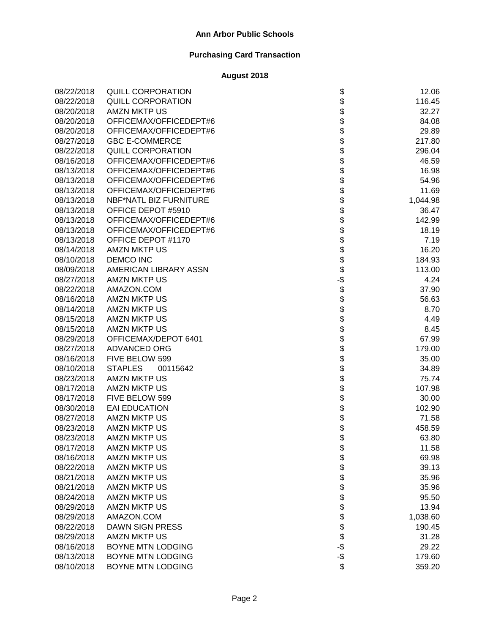| 08/22/2018 | <b>QUILL CORPORATION</b>   |                   | 12.06    |
|------------|----------------------------|-------------------|----------|
| 08/22/2018 | <b>QUILL CORPORATION</b>   | \$<br>\$          | 116.45   |
| 08/20/2018 | <b>AMZN MKTP US</b>        |                   | 32.27    |
| 08/20/2018 | OFFICEMAX/OFFICEDEPT#6     | \$<br>\$          | 84.08    |
| 08/20/2018 | OFFICEMAX/OFFICEDEPT#6     |                   | 29.89    |
| 08/27/2018 | <b>GBC E-COMMERCE</b>      |                   | 217.80   |
| 08/22/2018 | <b>QUILL CORPORATION</b>   |                   | 296.04   |
| 08/16/2018 | OFFICEMAX/OFFICEDEPT#6     |                   | 46.59    |
| 08/13/2018 | OFFICEMAX/OFFICEDEPT#6     |                   | 16.98    |
| 08/13/2018 | OFFICEMAX/OFFICEDEPT#6     |                   | 54.96    |
| 08/13/2018 | OFFICEMAX/OFFICEDEPT#6     |                   | 11.69    |
| 08/13/2018 | NBF*NATL BIZ FURNITURE     |                   | 1,044.98 |
| 08/13/2018 | OFFICE DEPOT #5910         | <b>88888888</b>   | 36.47    |
| 08/13/2018 | OFFICEMAX/OFFICEDEPT#6     |                   | 142.99   |
| 08/13/2018 | OFFICEMAX/OFFICEDEPT#6     | \$                | 18.19    |
| 08/13/2018 | OFFICE DEPOT #1170         | \$                | 7.19     |
| 08/14/2018 | <b>AMZN MKTP US</b>        |                   | 16.20    |
| 08/10/2018 | <b>DEMCO INC</b>           | \$<br>\$          | 184.93   |
| 08/09/2018 | AMERICAN LIBRARY ASSN      | \$                | 113.00   |
| 08/27/2018 | <b>AMZN MKTP US</b>        | -\$               | 4.24     |
| 08/22/2018 | AMAZON.COM                 |                   | 37.90    |
| 08/16/2018 | <b>AMZN MKTP US</b>        |                   | 56.63    |
| 08/14/2018 | <b>AMZN MKTP US</b>        |                   | 8.70     |
| 08/15/2018 | <b>AMZN MKTP US</b>        |                   | 4.49     |
| 08/15/2018 | <b>AMZN MKTP US</b>        | <b>8888888888</b> | 8.45     |
| 08/29/2018 | OFFICEMAX/DEPOT 6401       |                   | 67.99    |
| 08/27/2018 | ADVANCED ORG               |                   | 179.00   |
| 08/16/2018 | FIVE BELOW 599             |                   | 35.00    |
| 08/10/2018 | <b>STAPLES</b><br>00115642 |                   | 34.89    |
| 08/23/2018 | <b>AMZN MKTP US</b>        |                   | 75.74    |
| 08/17/2018 | <b>AMZN MKTP US</b>        |                   | 107.98   |
| 08/17/2018 | FIVE BELOW 599             | \$                | 30.00    |
| 08/30/2018 | <b>EAI EDUCATION</b>       | \$                | 102.90   |
| 08/27/2018 | <b>AMZN MKTP US</b>        | \$                | 71.58    |
| 08/23/2018 | <b>AMZN MKTP US</b>        | \$                | 458.59   |
| 08/23/2018 | <b>AMZN MKTP US</b>        | \$                | 63.80    |
| 08/17/2018 | AMZN MKTP US               | \$                | 11.58    |
| 08/16/2018 | <b>AMZN MKTP US</b>        |                   | 69.98    |
| 08/22/2018 | <b>AMZN MKTP US</b>        | \$<br>\$          | 39.13    |
| 08/21/2018 | <b>AMZN MKTP US</b>        |                   | 35.96    |
| 08/21/2018 | <b>AMZN MKTP US</b>        | \$\$\$            | 35.96    |
| 08/24/2018 | <b>AMZN MKTP US</b>        |                   | 95.50    |
| 08/29/2018 | <b>AMZN MKTP US</b>        |                   | 13.94    |
| 08/29/2018 | AMAZON.COM                 |                   | 1,038.60 |
| 08/22/2018 | <b>DAWN SIGN PRESS</b>     | \$                | 190.45   |
| 08/29/2018 | <b>AMZN MKTP US</b>        | $3 - 5$<br>-\$    | 31.28    |
| 08/16/2018 | <b>BOYNE MTN LODGING</b>   |                   | 29.22    |
| 08/13/2018 | <b>BOYNE MTN LODGING</b>   |                   | 179.60   |
| 08/10/2018 | <b>BOYNE MTN LODGING</b>   | \$                | 359.20   |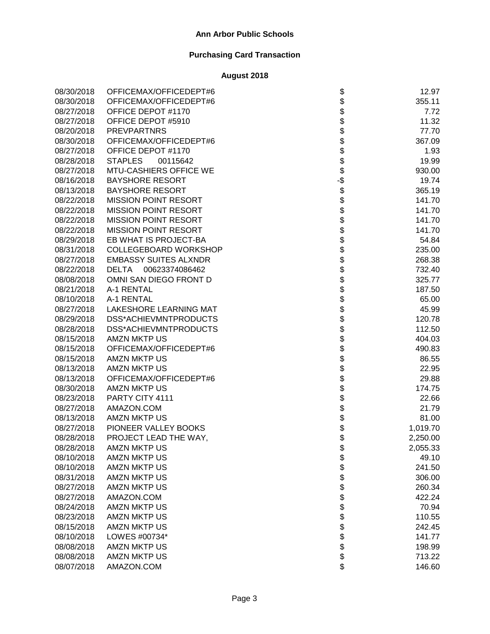| 08/30/2018 | OFFICEMAX/OFFICEDEPT#6         | \$             | 12.97    |
|------------|--------------------------------|----------------|----------|
| 08/30/2018 | OFFICEMAX/OFFICEDEPT#6         |                | 355.11   |
| 08/27/2018 | OFFICE DEPOT #1170             |                | 7.72     |
| 08/27/2018 | OFFICE DEPOT #5910             | <b>8888888</b> | 11.32    |
| 08/20/2018 | <b>PREVPARTNRS</b>             |                | 77.70    |
| 08/30/2018 | OFFICEMAX/OFFICEDEPT#6         |                | 367.09   |
| 08/27/2018 | OFFICE DEPOT #1170             |                | 1.93     |
| 08/28/2018 | <b>STAPLES</b><br>00115642     |                | 19.99    |
| 08/27/2018 | MTU-CASHIERS OFFICE WE         |                | 930.00   |
| 08/16/2018 | <b>BAYSHORE RESORT</b>         | -\$            | 19.74    |
| 08/13/2018 | <b>BAYSHORE RESORT</b>         |                | 365.19   |
| 08/22/2018 | <b>MISSION POINT RESORT</b>    |                | 141.70   |
| 08/22/2018 | <b>MISSION POINT RESORT</b>    | \$\$\$\$\$\$   | 141.70   |
| 08/22/2018 | <b>MISSION POINT RESORT</b>    |                | 141.70   |
| 08/22/2018 | <b>MISSION POINT RESORT</b>    |                | 141.70   |
| 08/29/2018 | EB WHAT IS PROJECT-BA          |                | 54.84    |
| 08/31/2018 | <b>COLLEGEBOARD WORKSHOP</b>   |                | 235.00   |
| 08/27/2018 | <b>EMBASSY SUITES ALXNDR</b>   |                | 268.38   |
| 08/22/2018 | 00623374086462<br><b>DELTA</b> |                | 732.40   |
| 08/08/2018 | OMNI SAN DIEGO FRONT D         |                | 325.77   |
| 08/21/2018 | A-1 RENTAL                     |                | 187.50   |
| 08/10/2018 | A-1 RENTAL                     |                | 65.00    |
| 08/27/2018 | <b>LAKESHORE LEARNING MAT</b>  |                | 45.99    |
| 08/29/2018 | DSS*ACHIEVMNTPRODUCTS          |                | 120.78   |
| 08/28/2018 | DSS*ACHIEVMNTPRODUCTS          |                | 112.50   |
| 08/15/2018 | <b>AMZN MKTP US</b>            |                | 404.03   |
| 08/15/2018 | OFFICEMAX/OFFICEDEPT#6         |                | 490.83   |
| 08/15/2018 | <b>AMZN MKTP US</b>            |                | 86.55    |
| 08/13/2018 | <b>AMZN MKTP US</b>            |                | 22.95    |
| 08/13/2018 | OFFICEMAX/OFFICEDEPT#6         |                | 29.88    |
| 08/30/2018 | <b>AMZN MKTP US</b>            |                | 174.75   |
| 08/23/2018 | PARTY CITY 4111                |                | 22.66    |
| 08/27/2018 | AMAZON.COM                     | \$\$\$         | 21.79    |
| 08/13/2018 | <b>AMZN MKTP US</b>            |                | 81.00    |
| 08/27/2018 | PIONEER VALLEY BOOKS           | \$             | 1,019.70 |
| 08/28/2018 | PROJECT LEAD THE WAY,          | \$             | 2,250.00 |
| 08/28/2018 | AMZN MKTP US                   | \$             | 2,055.33 |
| 08/10/2018 | <b>AMZN MKTP US</b>            |                | 49.10    |
| 08/10/2018 | <b>AMZN MKTP US</b>            |                | 241.50   |
| 08/31/2018 | <b>AMZN MKTP US</b>            | \$\$\$         | 306.00   |
| 08/27/2018 | <b>AMZN MKTP US</b>            |                | 260.34   |
| 08/27/2018 | AMAZON.COM                     | \$             | 422.24   |
| 08/24/2018 | <b>AMZN MKTP US</b>            | \$             | 70.94    |
| 08/23/2018 | <b>AMZN MKTP US</b>            | \$             | 110.55   |
| 08/15/2018 | <b>AMZN MKTP US</b>            | \$             | 242.45   |
| 08/10/2018 | LOWES #00734*                  | \$             | 141.77   |
| 08/08/2018 | <b>AMZN MKTP US</b>            | \$             | 198.99   |
| 08/08/2018 | <b>AMZN MKTP US</b>            | \$             | 713.22   |
| 08/07/2018 | AMAZON.COM                     | \$             | 146.60   |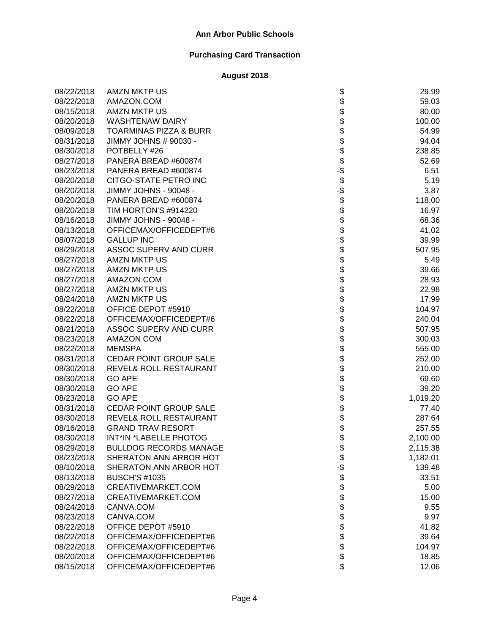| 08/22/2018 | <b>AMZN MKTP US</b>               | \$                | 29.99    |
|------------|-----------------------------------|-------------------|----------|
| 08/22/2018 | AMAZON.COM                        | \$                | 59.03    |
| 08/15/2018 | <b>AMZN MKTP US</b>               |                   | 80.00    |
| 08/20/2018 | <b>WASHTENAW DAIRY</b>            |                   | 100.00   |
| 08/09/2018 | <b>TOARMINAS PIZZA &amp; BURR</b> |                   | 54.99    |
| 08/31/2018 | JIMMY JOHNS # 90030 -             |                   | 94.04    |
| 08/30/2018 | POTBELLY #26                      |                   | 238.85   |
| 08/27/2018 | PANERA BREAD #600874              | \$\$\$\$\$\$      | 52.69    |
| 08/23/2018 | PANERA BREAD #600874              | -\$               | 6.51     |
| 08/20/2018 | CITGO-STATE PETRO INC             | \$                | 5.19     |
| 08/20/2018 | JIMMY JOHNS - 90048 -             |                   | 3.87     |
| 08/20/2018 | PANERA BREAD #600874              |                   | 118.00   |
| 08/20/2018 | TIM HORTON'S #914220              |                   | 16.97    |
| 08/16/2018 | JIMMY JOHNS - 90048 -             | မှ မှ မှ<br>န     | 68.36    |
| 08/13/2018 | OFFICEMAX/OFFICEDEPT#6            | \$                | 41.02    |
| 08/07/2018 | <b>GALLUP INC</b>                 | \$                | 39.99    |
| 08/29/2018 | ASSOC SUPERV AND CURR             | \$                | 507.95   |
| 08/27/2018 | AMZN MKTP US                      | \$                | 5.49     |
| 08/27/2018 | <b>AMZN MKTP US</b>               |                   | 39.66    |
| 08/27/2018 | AMAZON.COM                        |                   | 28.93    |
| 08/27/2018 | <b>AMZN MKTP US</b>               |                   | 22.98    |
| 08/24/2018 | <b>AMZN MKTP US</b>               | <b>8888888888</b> | 17.99    |
| 08/22/2018 | OFFICE DEPOT #5910                |                   | 104.97   |
| 08/22/2018 | OFFICEMAX/OFFICEDEPT#6            |                   | 240.04   |
| 08/21/2018 | ASSOC SUPERV AND CURR             |                   | 507.95   |
| 08/23/2018 | AMAZON.COM                        |                   | 300.03   |
| 08/22/2018 | <b>MEMSPA</b>                     |                   | 555.00   |
| 08/31/2018 | CEDAR POINT GROUP SALE            |                   | 252.00   |
| 08/30/2018 | REVEL& ROLL RESTAURANT            |                   | 210.00   |
| 08/30/2018 | <b>GO APE</b>                     | \$                | 69.60    |
| 08/30/2018 | <b>GO APE</b>                     | \$                | 39.20    |
| 08/23/2018 | <b>GO APE</b>                     | \$<br>\$          | 1,019.20 |
| 08/31/2018 | <b>CEDAR POINT GROUP SALE</b>     |                   | 77.40    |
| 08/30/2018 | REVEL& ROLL RESTAURANT            | \$                | 287.64   |
| 08/16/2018 | <b>GRAND TRAV RESORT</b>          | \$                | 257.55   |
| 08/30/2018 | INT*IN *LABELLE PHOTOG            | \$                | 2,100.00 |
| 08/29/2018 | <b>BULLDOG RECORDS MANAGE</b>     | \$                | 2,115.38 |
| 08/23/2018 | SHERATON ANN ARBOR HOT            | \$                | 1,182.01 |
| 08/10/2018 | SHERATON ANN ARBOR HOT            | -\$               | 139.48   |
| 08/13/2018 | <b>BUSCH'S #1035</b>              | \$                | 33.51    |
| 08/29/2018 | CREATIVEMARKET.COM                |                   | 5.00     |
| 08/27/2018 | CREATIVEMARKET.COM                | \$                | 15.00    |
| 08/24/2018 | CANVA.COM                         | \$                | 9.55     |
| 08/23/2018 | CANVA.COM                         | \$                | 9.97     |
| 08/22/2018 | OFFICE DEPOT #5910                | \$                | 41.82    |
| 08/22/2018 | OFFICEMAX/OFFICEDEPT#6            | \$                | 39.64    |
| 08/22/2018 | OFFICEMAX/OFFICEDEPT#6            | \$                | 104.97   |
| 08/20/2018 | OFFICEMAX/OFFICEDEPT#6            | \$                | 18.85    |
| 08/15/2018 | OFFICEMAX/OFFICEDEPT#6            | \$                | 12.06    |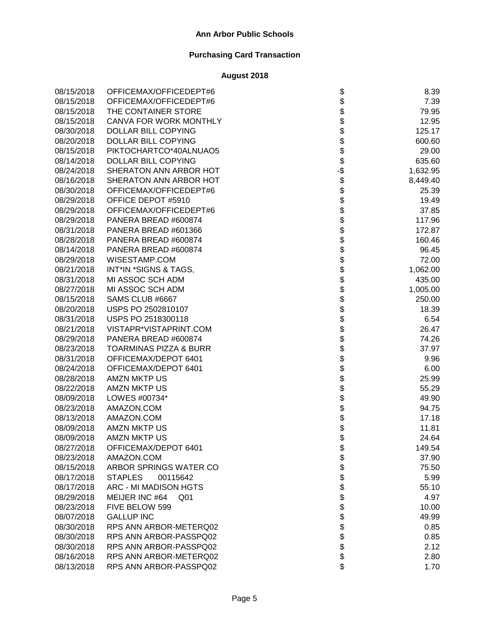| 08/15/2018 | OFFICEMAX/OFFICEDEPT#6            | \$                                 | 8.39     |
|------------|-----------------------------------|------------------------------------|----------|
| 08/15/2018 | OFFICEMAX/OFFICEDEPT#6            | \$                                 | 7.39     |
| 08/15/2018 | THE CONTAINER STORE               | \$                                 | 79.95    |
| 08/15/2018 | CANVA FOR WORK MONTHLY            |                                    | 12.95    |
| 08/30/2018 | DOLLAR BILL COPYING               |                                    | 125.17   |
| 08/20/2018 | DOLLAR BILL COPYING               |                                    | 600.60   |
| 08/15/2018 | PIKTOCHARTCO*40ALNUAO5            |                                    | 29.00    |
| 08/14/2018 | DOLLAR BILL COPYING               | \$\$\$\$\$                         | 635.60   |
| 08/24/2018 | SHERATON ANN ARBOR HOT            | -\$                                | 1,632.95 |
| 08/16/2018 | SHERATON ANN ARBOR HOT            |                                    | 8,449.40 |
| 08/30/2018 | OFFICEMAX/OFFICEDEPT#6            | \$\$                               | 25.39    |
| 08/29/2018 | OFFICE DEPOT #5910                |                                    | 19.49    |
| 08/29/2018 | OFFICEMAX/OFFICEDEPT#6            |                                    | 37.85    |
| 08/29/2018 | PANERA BREAD #600874              |                                    | 117.96   |
| 08/31/2018 | PANERA BREAD #601366              |                                    | 172.87   |
| 08/28/2018 | PANERA BREAD #600874              |                                    | 160.46   |
| 08/14/2018 | PANERA BREAD #600874              |                                    | 96.45    |
| 08/29/2018 | WISESTAMP.COM                     | \$\$\$\$\$\$\$\$\$\$\$\$\$\$\$\$\$ | 72.00    |
| 08/21/2018 | INT*IN *SIGNS & TAGS,             |                                    | 1,062.00 |
| 08/31/2018 | MI ASSOC SCH ADM                  |                                    | 435.00   |
| 08/27/2018 | MI ASSOC SCH ADM                  |                                    | 1,005.00 |
| 08/15/2018 | SAMS CLUB #6667                   |                                    | 250.00   |
| 08/20/2018 | USPS PO 2502810107                |                                    | 18.39    |
| 08/31/2018 | USPS PO 2518300118                |                                    | 6.54     |
| 08/21/2018 | VISTAPR*VISTAPRINT.COM            |                                    | 26.47    |
| 08/29/2018 | PANERA BREAD #600874              |                                    | 74.26    |
| 08/23/2018 | <b>TOARMINAS PIZZA &amp; BURR</b> |                                    | 37.97    |
| 08/31/2018 | OFFICEMAX/DEPOT 6401              | \$                                 | 9.96     |
| 08/24/2018 | OFFICEMAX/DEPOT 6401              | \$                                 | 6.00     |
| 08/28/2018 | <b>AMZN MKTP US</b>               | \$                                 | 25.99    |
| 08/22/2018 | <b>AMZN MKTP US</b>               | \$                                 | 55.29    |
| 08/09/2018 | LOWES #00734*                     | \$                                 | 49.90    |
| 08/23/2018 | AMAZON.COM                        | \$                                 | 94.75    |
| 08/13/2018 | AMAZON.COM                        | \$                                 | 17.18    |
| 08/09/2018 | <b>AMZN MKTP US</b>               | \$                                 | 11.81    |
| 08/09/2018 | <b>AMZN MKTP US</b>               | \$                                 | 24.64    |
| 08/27/2018 | OFFICEMAX/DEPOT 6401              | \$                                 | 149.54   |
| 08/23/2018 | AMAZON.COM                        |                                    | 37.90    |
| 08/15/2018 | ARBOR SPRINGS WATER CO            | \$\$                               | 75.50    |
| 08/17/2018 | <b>STAPLES</b><br>00115642        |                                    | 5.99     |
| 08/17/2018 | ARC - MI MADISON HGTS             | \$                                 | 55.10    |
| 08/29/2018 | MEIJER INC #64<br>Q01             | \$                                 | 4.97     |
| 08/23/2018 | FIVE BELOW 599                    | \$                                 | 10.00    |
| 08/07/2018 | <b>GALLUP INC</b>                 | \$                                 | 49.99    |
| 08/30/2018 | RPS ANN ARBOR-METERQ02            | \$                                 | 0.85     |
| 08/30/2018 | RPS ANN ARBOR-PASSPQ02            | \$                                 | 0.85     |
| 08/30/2018 | RPS ANN ARBOR-PASSPQ02            | \$                                 | 2.12     |
| 08/16/2018 | RPS ANN ARBOR-METERQ02            | \$                                 | 2.80     |
| 08/13/2018 | RPS ANN ARBOR-PASSPQ02            | \$                                 | 1.70     |
|            |                                   |                                    |          |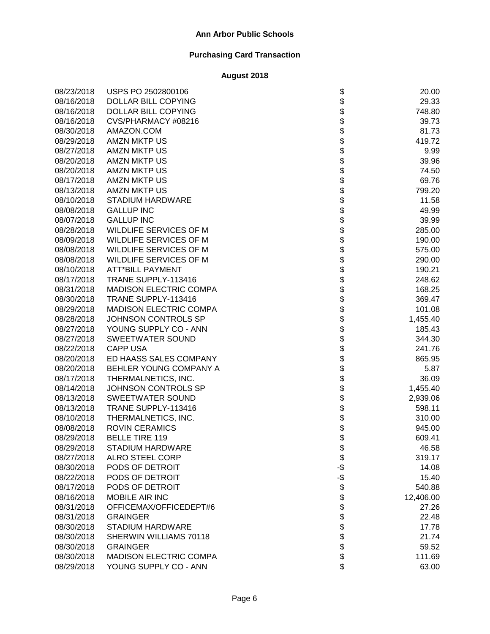| 08/23/2018 | USPS PO 2502800106            | \$                                 | 20.00     |
|------------|-------------------------------|------------------------------------|-----------|
| 08/16/2018 | DOLLAR BILL COPYING           |                                    | 29.33     |
| 08/16/2018 | DOLLAR BILL COPYING           | \$\$                               | 748.80    |
| 08/16/2018 | CVS/PHARMACY #08216           |                                    | 39.73     |
| 08/30/2018 | AMAZON.COM                    |                                    | 81.73     |
| 08/29/2018 | <b>AMZN MKTP US</b>           |                                    | 419.72    |
| 08/27/2018 | <b>AMZN MKTP US</b>           |                                    | 9.99      |
| 08/20/2018 | <b>AMZN MKTP US</b>           |                                    | 39.96     |
| 08/20/2018 | <b>AMZN MKTP US</b>           |                                    | 74.50     |
| 08/17/2018 | <b>AMZN MKTP US</b>           |                                    | 69.76     |
| 08/13/2018 | <b>AMZN MKTP US</b>           |                                    | 799.20    |
| 08/10/2018 | <b>STADIUM HARDWARE</b>       |                                    | 11.58     |
| 08/08/2018 | <b>GALLUP INC</b>             |                                    | 49.99     |
| 08/07/2018 | <b>GALLUP INC</b>             |                                    | 39.99     |
| 08/28/2018 | WILDLIFE SERVICES OF M        |                                    | 285.00    |
| 08/09/2018 | WILDLIFE SERVICES OF M        |                                    | 190.00    |
| 08/08/2018 | WILDLIFE SERVICES OF M        |                                    | 575.00    |
| 08/08/2018 | WILDLIFE SERVICES OF M        |                                    | 290.00    |
| 08/10/2018 | <b>ATT*BILL PAYMENT</b>       | \$\$\$\$\$\$\$\$\$\$\$\$\$\$\$\$\$ | 190.21    |
| 08/17/2018 | TRANE SUPPLY-113416           |                                    | 248.62    |
| 08/31/2018 | <b>MADISON ELECTRIC COMPA</b> |                                    | 168.25    |
| 08/30/2018 | TRANE SUPPLY-113416           |                                    | 369.47    |
| 08/29/2018 | <b>MADISON ELECTRIC COMPA</b> |                                    | 101.08    |
| 08/28/2018 | JOHNSON CONTROLS SP           |                                    | 1,455.40  |
| 08/27/2018 | YOUNG SUPPLY CO - ANN         |                                    | 185.43    |
| 08/27/2018 | SWEETWATER SOUND              |                                    | 344.30    |
| 08/22/2018 | <b>CAPP USA</b>               | <b>金ままままままままままま</b>                | 241.76    |
| 08/20/2018 | ED HAASS SALES COMPANY        |                                    | 865.95    |
| 08/20/2018 | BEHLER YOUNG COMPANY A        |                                    | 5.87      |
| 08/17/2018 | THERMALNETICS, INC.           |                                    | 36.09     |
| 08/14/2018 | JOHNSON CONTROLS SP           |                                    | 1,455.40  |
| 08/13/2018 | SWEETWATER SOUND              |                                    | 2,939.06  |
| 08/13/2018 | TRANE SUPPLY-113416           |                                    | 598.11    |
| 08/10/2018 | THERMALNETICS, INC.           | \$                                 | 310.00    |
| 08/08/2018 | <b>ROVIN CERAMICS</b>         | \$                                 | 945.00    |
| 08/29/2018 | <b>BELLE TIRE 119</b>         | \$                                 | 609.41    |
| 08/29/2018 | STADIUM HARDWARE              | Φ                                  | 46.58     |
| 08/27/2018 | <b>ALRO STEEL CORP</b>        | \$                                 | 319.17    |
| 08/30/2018 | PODS OF DETROIT               |                                    | 14.08     |
| 08/22/2018 | PODS OF DETROIT               |                                    | 15.40     |
| 08/17/2018 | PODS OF DETROIT               |                                    | 540.88    |
| 08/16/2018 | MOBILE AIR INC                |                                    | 12,406.00 |
| 08/31/2018 | OFFICEMAX/OFFICEDEPT#6        |                                    | 27.26     |
| 08/31/2018 | <b>GRAINGER</b>               |                                    | 22.48     |
| 08/30/2018 | <b>STADIUM HARDWARE</b>       | <b>\$P\$\$P\$\$P\$\$</b>           | 17.78     |
| 08/30/2018 | SHERWIN WILLIAMS 70118        | \$                                 | 21.74     |
| 08/30/2018 | <b>GRAINGER</b>               | \$                                 | 59.52     |
| 08/30/2018 | <b>MADISON ELECTRIC COMPA</b> | \$                                 | 111.69    |
| 08/29/2018 | YOUNG SUPPLY CO - ANN         | \$                                 | 63.00     |
|            |                               |                                    |           |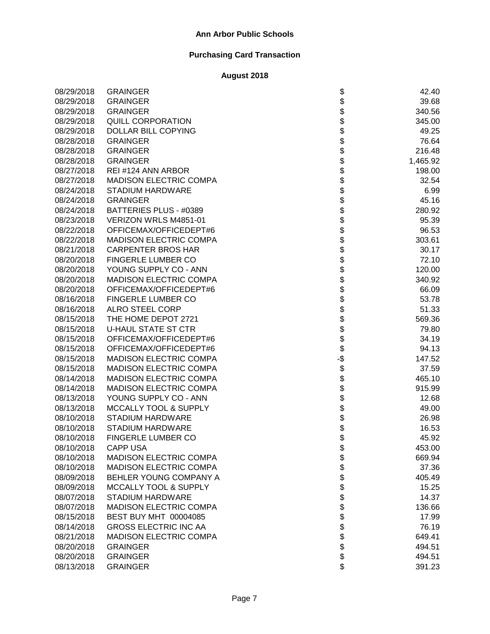| 08/29/2018 | <b>GRAINGER</b>               | \$                  | 42.40    |
|------------|-------------------------------|---------------------|----------|
| 08/29/2018 | <b>GRAINGER</b>               | \$                  | 39.68    |
| 08/29/2018 | <b>GRAINGER</b>               | \$                  | 340.56   |
| 08/29/2018 | <b>QUILL CORPORATION</b>      | \$                  | 345.00   |
| 08/29/2018 | DOLLAR BILL COPYING           |                     | 49.25    |
| 08/28/2018 | <b>GRAINGER</b>               |                     | 76.64    |
| 08/28/2018 | <b>GRAINGER</b>               |                     | 216.48   |
| 08/28/2018 | <b>GRAINGER</b>               | <b>8888888</b>      | 1,465.92 |
| 08/27/2018 | REI #124 ANN ARBOR            |                     | 198.00   |
| 08/27/2018 | <b>MADISON ELECTRIC COMPA</b> |                     | 32.54    |
| 08/24/2018 | <b>STADIUM HARDWARE</b>       |                     | 6.99     |
| 08/24/2018 | <b>GRAINGER</b>               | \$                  | 45.16    |
| 08/24/2018 | BATTERIES PLUS - #0389        | \$                  | 280.92   |
| 08/23/2018 | VERIZON WRLS M4851-01         |                     | 95.39    |
| 08/22/2018 | OFFICEMAX/OFFICEDEPT#6        | \$                  | 96.53    |
| 08/22/2018 | <b>MADISON ELECTRIC COMPA</b> |                     | 303.61   |
| 08/21/2018 | <b>CARPENTER BROS HAR</b>     |                     | 30.17    |
| 08/20/2018 | FINGERLE LUMBER CO            |                     | 72.10    |
| 08/20/2018 | YOUNG SUPPLY CO - ANN         |                     | 120.00   |
| 08/20/2018 | <b>MADISON ELECTRIC COMPA</b> |                     | 340.92   |
| 08/20/2018 | OFFICEMAX/OFFICEDEPT#6        |                     | 66.09    |
| 08/16/2018 | FINGERLE LUMBER CO            | <b>aaaaaaaaaaaa</b> | 53.78    |
| 08/16/2018 | <b>ALRO STEEL CORP</b>        |                     | 51.33    |
| 08/15/2018 | THE HOME DEPOT 2721           |                     | 569.36   |
| 08/15/2018 | <b>U-HAUL STATE ST CTR</b>    |                     | 79.80    |
| 08/15/2018 | OFFICEMAX/OFFICEDEPT#6        |                     | 34.19    |
| 08/15/2018 | OFFICEMAX/OFFICEDEPT#6        |                     | 94.13    |
| 08/15/2018 | <b>MADISON ELECTRIC COMPA</b> | -\$                 | 147.52   |
| 08/15/2018 | <b>MADISON ELECTRIC COMPA</b> |                     | 37.59    |
| 08/14/2018 | <b>MADISON ELECTRIC COMPA</b> | \$\$\$\$            | 465.10   |
| 08/14/2018 | <b>MADISON ELECTRIC COMPA</b> |                     | 915.99   |
| 08/13/2018 | YOUNG SUPPLY CO - ANN         |                     | 12.68    |
| 08/13/2018 | MCCALLY TOOL & SUPPLY         | \$                  | 49.00    |
| 08/10/2018 | <b>STADIUM HARDWARE</b>       | \$                  | 26.98    |
| 08/10/2018 | <b>STADIUM HARDWARE</b>       | \$<br>\$            | 16.53    |
| 08/10/2018 | <b>FINGERLE LUMBER CO</b>     |                     | 45.92    |
| 08/10/2018 | <b>CAPP USA</b>               | \$                  | 453.00   |
| 08/10/2018 | <b>MADISON ELECTRIC COMPA</b> |                     | 669.94   |
| 08/10/2018 | <b>MADISON ELECTRIC COMPA</b> | \$<br>\$            | 37.36    |
| 08/09/2018 | BEHLER YOUNG COMPANY A        |                     | 405.49   |
| 08/09/2018 | MCCALLY TOOL & SUPPLY         | \$                  | 15.25    |
| 08/07/2018 | <b>STADIUM HARDWARE</b>       | \$                  | 14.37    |
| 08/07/2018 | <b>MADISON ELECTRIC COMPA</b> | \$                  | 136.66   |
| 08/15/2018 | BEST BUY MHT 00004085         | \$                  | 17.99    |
| 08/14/2018 | <b>GROSS ELECTRIC INC AA</b>  | \$                  | 76.19    |
| 08/21/2018 | <b>MADISON ELECTRIC COMPA</b> | \$                  | 649.41   |
| 08/20/2018 | <b>GRAINGER</b>               | \$                  | 494.51   |
| 08/20/2018 | <b>GRAINGER</b>               | \$                  | 494.51   |
| 08/13/2018 | <b>GRAINGER</b>               | \$                  | 391.23   |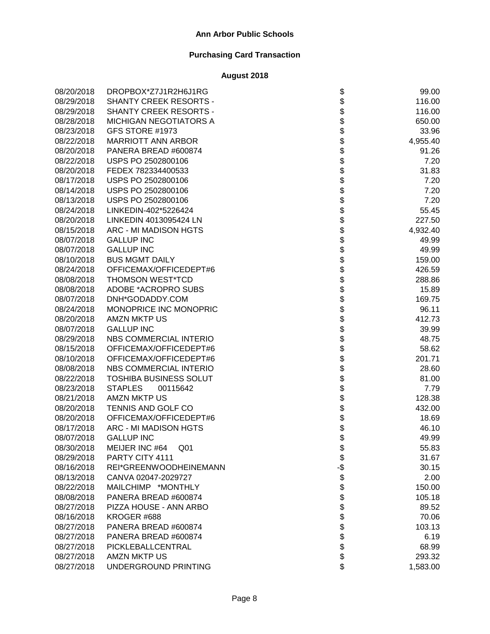| 08/20/2018 | DROPBOX*Z7J1R2H6J1RG          | \$              | 99.00    |
|------------|-------------------------------|-----------------|----------|
| 08/29/2018 | <b>SHANTY CREEK RESORTS -</b> | \$              | 116.00   |
| 08/29/2018 | <b>SHANTY CREEK RESORTS -</b> | \$              | 116.00   |
| 08/28/2018 | <b>MICHIGAN NEGOTIATORS A</b> | \$              | 650.00   |
| 08/23/2018 | GFS STORE #1973               | \$              | 33.96    |
| 08/22/2018 | <b>MARRIOTT ANN ARBOR</b>     |                 | 4,955.40 |
| 08/20/2018 | PANERA BREAD #600874          |                 | 91.26    |
| 08/22/2018 | USPS PO 2502800106            |                 | 7.20     |
| 08/20/2018 | FEDEX 782334400533            | \$\$\$\$\$\$    | 31.83    |
| 08/17/2018 | USPS PO 2502800106            |                 | 7.20     |
| 08/14/2018 | USPS PO 2502800106            |                 | 7.20     |
| 08/13/2018 | USPS PO 2502800106            | \$              | 7.20     |
| 08/24/2018 | LINKEDIN-402*5226424          | \$              | 55.45    |
| 08/20/2018 | LINKEDIN 4013095424 LN        | \$              | 227.50   |
| 08/15/2018 | ARC - MI MADISON HGTS         | \$              | 4,932.40 |
| 08/07/2018 | <b>GALLUP INC</b>             | \$              | 49.99    |
| 08/07/2018 | <b>GALLUP INC</b>             | \$              | 49.99    |
| 08/10/2018 | <b>BUS MGMT DAILY</b>         |                 | 159.00   |
| 08/24/2018 | OFFICEMAX/OFFICEDEPT#6        | \$<br>\$        | 426.59   |
| 08/08/2018 | <b>THOMSON WEST*TCD</b>       |                 | 288.86   |
| 08/08/2018 | ADOBE *ACROPRO SUBS           |                 | 15.89    |
| 08/07/2018 | DNH*GODADDY.COM               |                 | 169.75   |
| 08/24/2018 | MONOPRICE INC MONOPRIC        |                 | 96.11    |
| 08/20/2018 | <b>AMZN MKTP US</b>           |                 | 412.73   |
| 08/07/2018 | <b>GALLUP INC</b>             |                 | 39.99    |
| 08/29/2018 | NBS COMMERCIAL INTERIO        | <b>88888888</b> | 48.75    |
| 08/15/2018 | OFFICEMAX/OFFICEDEPT#6        |                 | 58.62    |
| 08/10/2018 | OFFICEMAX/OFFICEDEPT#6        |                 | 201.71   |
| 08/08/2018 | NBS COMMERCIAL INTERIO        | \$              | 28.60    |
| 08/22/2018 | <b>TOSHIBA BUSINESS SOLUT</b> | \$              | 81.00    |
| 08/23/2018 | <b>STAPLES</b><br>00115642    | \$              | 7.79     |
| 08/21/2018 | <b>AMZN MKTP US</b>           | \$              | 128.38   |
| 08/20/2018 | TENNIS AND GOLF CO            | \$              | 432.00   |
| 08/20/2018 | OFFICEMAX/OFFICEDEPT#6        | \$              | 18.69    |
| 08/17/2018 | ARC - MI MADISON HGTS         | \$              | 46.10    |
| 08/07/2018 | <b>GALLUP INC</b>             | \$              | 49.99    |
| 08/30/2018 | MEIJER INC #64<br>Q01         | φ               | 55.83    |
| 08/29/2018 | PARTY CITY 4111               | \$              | 31.67    |
| 08/16/2018 | REI*GREENWOODHEINEMANN        |                 | 30.15    |
| 08/13/2018 | CANVA 02047-2029727           |                 | 2.00     |
| 08/22/2018 | MAILCHIMP *MONTHLY            | the eses        | 150.00   |
| 08/08/2018 | PANERA BREAD #600874          |                 | 105.18   |
| 08/27/2018 | PIZZA HOUSE - ANN ARBO        | \$              | 89.52    |
| 08/16/2018 | KROGER #688                   | \$              | 70.06    |
| 08/27/2018 | PANERA BREAD #600874          | \$              | 103.13   |
| 08/27/2018 | PANERA BREAD #600874          | \$              | 6.19     |
| 08/27/2018 | PICKLEBALLCENTRAL             | \$              | 68.99    |
| 08/27/2018 | <b>AMZN MKTP US</b>           | \$              | 293.32   |
| 08/27/2018 | UNDERGROUND PRINTING          | \$              | 1,583.00 |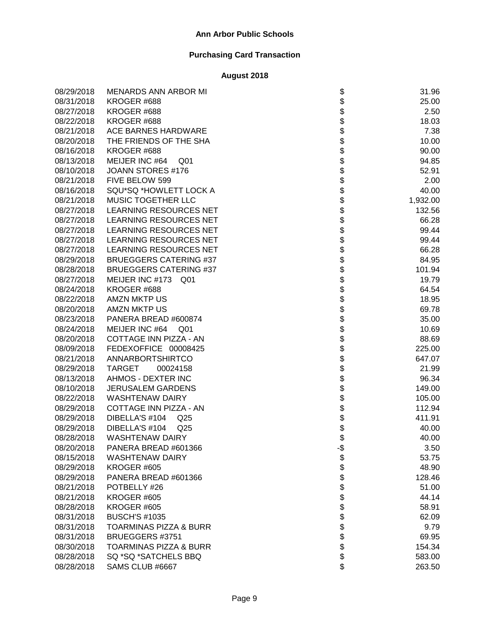| 08/29/2018 | <b>MENARDS ANN ARBOR MI</b>        | \$             | 31.96    |
|------------|------------------------------------|----------------|----------|
| 08/31/2018 | KROGER #688                        | \$             | 25.00    |
| 08/27/2018 | KROGER #688                        | \$             | 2.50     |
| 08/22/2018 | KROGER #688                        | \$             | 18.03    |
| 08/21/2018 | ACE BARNES HARDWARE                | \$             | 7.38     |
| 08/20/2018 | THE FRIENDS OF THE SHA             |                | 10.00    |
| 08/16/2018 | KROGER #688                        |                | 90.00    |
| 08/13/2018 | MEIJER INC #64<br>Q <sub>01</sub>  | \$\$\$         | 94.85    |
| 08/10/2018 | JOANN STORES #176                  |                | 52.91    |
| 08/21/2018 | FIVE BELOW 599                     | \$             | 2.00     |
| 08/16/2018 | SQU*SQ *HOWLETT LOCK A             | \$             | 40.00    |
| 08/21/2018 | MUSIC TOGETHER LLC                 | \$             | 1,932.00 |
| 08/27/2018 | LEARNING RESOURCES NET             | \$             | 132.56   |
| 08/27/2018 | LEARNING RESOURCES NET             | \$             | 66.28    |
| 08/27/2018 | LEARNING RESOURCES NET             | \$             | 99.44    |
| 08/27/2018 | LEARNING RESOURCES NET             | \$             | 99.44    |
| 08/27/2018 | LEARNING RESOURCES NET             | \$             | 66.28    |
| 08/29/2018 | <b>BRUEGGERS CATERING #37</b>      | \$             | 84.95    |
| 08/28/2018 | <b>BRUEGGERS CATERING #37</b>      |                | 101.94   |
| 08/27/2018 | MEIJER INC #173<br>Q <sub>01</sub> | \$             | 19.79    |
| 08/24/2018 | KROGER #688                        |                | 64.54    |
| 08/22/2018 | <b>AMZN MKTP US</b>                |                | 18.95    |
| 08/20/2018 | <b>AMZN MKTP US</b>                |                | 69.78    |
| 08/23/2018 | PANERA BREAD #600874               |                | 35.00    |
| 08/24/2018 | MEIJER INC #64<br>Q01              | \$\$\$\$\$\$\$ | 10.69    |
| 08/20/2018 | COTTAGE INN PIZZA - AN             |                | 88.69    |
| 08/09/2018 | FEDEXOFFICE 00008425               |                | 225.00   |
| 08/21/2018 | ANNARBORTSHIRTCO                   | \$             | 647.07   |
| 08/29/2018 | <b>TARGET</b><br>00024158          | \$             | 21.99    |
| 08/13/2018 | AHMOS - DEXTER INC                 | \$             | 96.34    |
| 08/10/2018 | <b>JERUSALEM GARDENS</b>           | \$             | 149.00   |
| 08/22/2018 | <b>WASHTENAW DAIRY</b>             | \$             | 105.00   |
| 08/29/2018 | COTTAGE INN PIZZA - AN             | \$             | 112.94   |
| 08/29/2018 | DIBELLA'S #104<br>Q <sub>25</sub>  | \$             | 411.91   |
| 08/29/2018 | DIBELLA'S #104<br>Q <sub>25</sub>  | \$             | 40.00    |
| 08/28/2018 | <b>WASHTENAW DAIRY</b>             | \$             | 40.00    |
| 08/20/2018 | PANERA BREAD #601366               | -\$            | 3.50     |
| 08/15/2018 | <b>WASHTENAW DAIRY</b>             | \$             | 53.75    |
| 08/29/2018 | KROGER #605                        | \$\$           | 48.90    |
| 08/29/2018 | PANERA BREAD #601366               |                | 128.46   |
| 08/21/2018 | POTBELLY #26                       |                | 51.00    |
| 08/21/2018 | KROGER #605                        | \$             | 44.14    |
| 08/28/2018 | KROGER #605                        | \$             | 58.91    |
| 08/31/2018 | <b>BUSCH'S #1035</b>               | \$             | 62.09    |
| 08/31/2018 | <b>TOARMINAS PIZZA &amp; BURR</b>  | \$             | 9.79     |
| 08/31/2018 | BRUEGGERS #3751                    | \$             | 69.95    |
| 08/30/2018 | <b>TOARMINAS PIZZA &amp; BURR</b>  | \$             | 154.34   |
| 08/28/2018 | SQ *SQ *SATCHELS BBQ               | \$             | 583.00   |
| 08/28/2018 | SAMS CLUB #6667                    | \$             | 263.50   |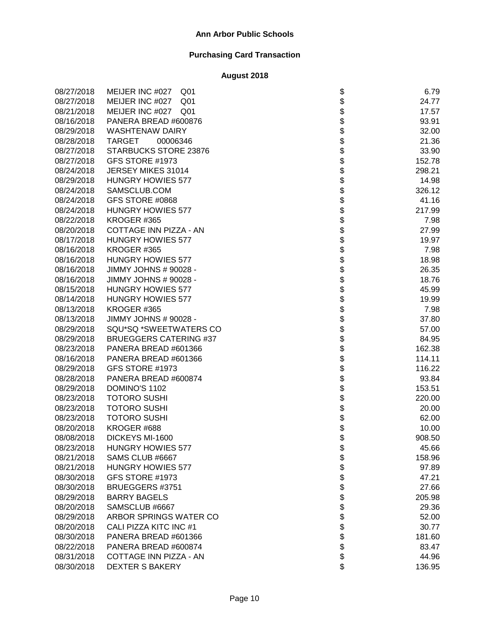| 08/27/2018 | MEIJER INC #027<br>Q01             |                    | 6.79   |
|------------|------------------------------------|--------------------|--------|
| 08/27/2018 | MEIJER INC #027<br>Q <sub>01</sub> | \$<br>\$           | 24.77  |
| 08/21/2018 | MEIJER INC #027<br>Q <sub>01</sub> |                    | 17.57  |
| 08/16/2018 | PANERA BREAD #600876               | \$<br>\$           | 93.91  |
| 08/29/2018 | <b>WASHTENAW DAIRY</b>             |                    | 32.00  |
| 08/28/2018 | <b>TARGET</b><br>00006346          |                    | 21.36  |
| 08/27/2018 | <b>STARBUCKS STORE 23876</b>       |                    | 33.90  |
| 08/27/2018 | GFS STORE #1973                    |                    | 152.78 |
| 08/24/2018 | JERSEY MIKES 31014                 | <b>おおおおおおおおお</b>   | 298.21 |
| 08/29/2018 | <b>HUNGRY HOWIES 577</b>           |                    | 14.98  |
| 08/24/2018 | SAMSCLUB.COM                       |                    | 326.12 |
| 08/24/2018 | GFS STORE #0868                    |                    | 41.16  |
| 08/24/2018 | <b>HUNGRY HOWIES 577</b>           |                    | 217.99 |
| 08/22/2018 | KROGER #365                        |                    | 7.98   |
| 08/20/2018 | COTTAGE INN PIZZA - AN             | \$                 | 27.99  |
| 08/17/2018 | <b>HUNGRY HOWIES 577</b>           | \$                 | 19.97  |
| 08/16/2018 | KROGER #365                        | \$                 | 7.98   |
| 08/16/2018 | <b>HUNGRY HOWIES 577</b>           | \$                 | 18.98  |
| 08/16/2018 | JIMMY JOHNS # 90028 -              |                    | 26.35  |
| 08/16/2018 | JIMMY JOHNS # 90028 -              |                    | 18.76  |
| 08/15/2018 | <b>HUNGRY HOWIES 577</b>           | <b>88888888888</b> | 45.99  |
| 08/14/2018 | <b>HUNGRY HOWIES 577</b>           |                    | 19.99  |
| 08/13/2018 | KROGER #365                        |                    | 7.98   |
| 08/13/2018 | JIMMY JOHNS # 90028 -              |                    | 37.80  |
| 08/29/2018 | SQU*SQ *SWEETWATERS CO             |                    | 57.00  |
| 08/29/2018 | <b>BRUEGGERS CATERING #37</b>      |                    | 84.95  |
| 08/23/2018 | PANERA BREAD #601366               |                    | 162.38 |
| 08/16/2018 | PANERA BREAD #601366               |                    | 114.11 |
| 08/29/2018 | GFS STORE #1973                    |                    | 116.22 |
| 08/28/2018 | PANERA BREAD #600874               | \$                 | 93.84  |
| 08/29/2018 | DOMINO'S 1102                      |                    | 153.51 |
| 08/23/2018 | <b>TOTORO SUSHI</b>                | \$                 | 220.00 |
| 08/23/2018 | <b>TOTORO SUSHI</b>                | \$                 | 20.00  |
| 08/23/2018 | <b>TOTORO SUSHI</b>                | \$                 | 62.00  |
| 08/20/2018 | KROGER #688                        | \$                 | 10.00  |
| 08/08/2018 | DICKEYS MI-1600                    | \$                 | 908.50 |
| 08/23/2018 | <b>HUNGRY HOWIES 577</b>           | Φ                  | 45.66  |
| 08/21/2018 | SAMS CLUB #6667                    | \$\$               | 158.96 |
| 08/21/2018 | <b>HUNGRY HOWIES 577</b>           |                    | 97.89  |
| 08/30/2018 | GFS STORE #1973                    |                    | 47.21  |
| 08/30/2018 | BRUEGGERS #3751                    | \$                 | 27.66  |
| 08/29/2018 | <b>BARRY BAGELS</b>                | \$<br>\$           | 205.98 |
| 08/20/2018 | SAMSCLUB #6667                     |                    | 29.36  |
| 08/29/2018 | ARBOR SPRINGS WATER CO             | \$                 | 52.00  |
| 08/20/2018 | CALI PIZZA KITC INC #1             | \$                 | 30.77  |
| 08/30/2018 | PANERA BREAD #601366               | \$                 | 181.60 |
| 08/22/2018 | PANERA BREAD #600874               | \$                 | 83.47  |
| 08/31/2018 | COTTAGE INN PIZZA - AN             | \$                 | 44.96  |
| 08/30/2018 | <b>DEXTER S BAKERY</b>             | \$                 | 136.95 |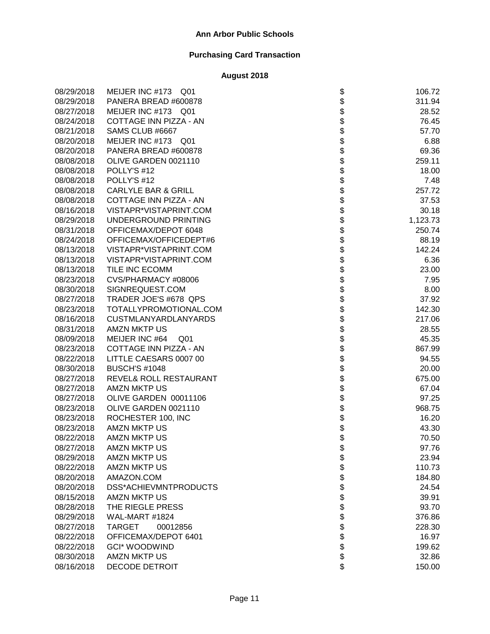| 08/29/2018 | MEIJER INC #173 Q01            |                                  | 106.72   |
|------------|--------------------------------|----------------------------------|----------|
| 08/29/2018 | PANERA BREAD #600878           |                                  | 311.94   |
| 08/27/2018 | MEIJER INC #173 Q01            |                                  | 28.52    |
| 08/24/2018 | COTTAGE INN PIZZA - AN         |                                  | 76.45    |
| 08/21/2018 | SAMS CLUB #6667                |                                  | 57.70    |
| 08/20/2018 | MEIJER INC #173 Q01            |                                  | 6.88     |
| 08/20/2018 | PANERA BREAD #600878           |                                  | 69.36    |
| 08/08/2018 | OLIVE GARDEN 0021110           |                                  | 259.11   |
| 08/08/2018 | POLLY'S #12                    |                                  | 18.00    |
| 08/08/2018 | POLLY'S #12                    |                                  | 7.48     |
| 08/08/2018 | <b>CARLYLE BAR &amp; GRILL</b> |                                  | 257.72   |
| 08/08/2018 | COTTAGE INN PIZZA - AN         |                                  | 37.53    |
| 08/16/2018 | VISTAPR*VISTAPRINT.COM         |                                  | 30.18    |
| 08/29/2018 | UNDERGROUND PRINTING           |                                  | 1,123.73 |
| 08/31/2018 | OFFICEMAX/DEPOT 6048           |                                  | 250.74   |
| 08/24/2018 | OFFICEMAX/OFFICEDEPT#6         |                                  | 88.19    |
| 08/13/2018 | VISTAPR*VISTAPRINT.COM         |                                  | 142.24   |
| 08/13/2018 | VISTAPR*VISTAPRINT.COM         |                                  | 6.36     |
| 08/13/2018 | TILE INC ECOMM                 |                                  | 23.00    |
| 08/23/2018 | CVS/PHARMACY #08006            |                                  | 7.95     |
| 08/30/2018 | SIGNREQUEST.COM                |                                  | 8.00     |
| 08/27/2018 | TRADER JOE'S #678 QPS          |                                  | 37.92    |
| 08/23/2018 | TOTALLYPROMOTIONAL.COM         |                                  | 142.30   |
| 08/16/2018 | <b>CUSTMLANYARDLANYARDS</b>    |                                  | 217.06   |
| 08/31/2018 | <b>AMZN MKTP US</b>            |                                  | 28.55    |
| 08/09/2018 | MEIJER INC #64<br>Q01          | ֍֍֍֍֍֍֍֍֍֍֍֍֍֍֍֍֍֍֍֍֍֍֍֍֍֍֍֍֍֍֍֍ | 45.35    |
| 08/23/2018 | COTTAGE INN PIZZA - AN         |                                  | 867.99   |
| 08/22/2018 | LITTLE CAESARS 0007 00         |                                  | 94.55    |
| 08/30/2018 | <b>BUSCH'S #1048</b>           |                                  | 20.00    |
| 08/27/2018 | REVEL& ROLL RESTAURANT         |                                  | 675.00   |
| 08/27/2018 | <b>AMZN MKTP US</b>            |                                  | 67.04    |
| 08/27/2018 | OLIVE GARDEN 00011106          |                                  | 97.25    |
| 08/23/2018 | OLIVE GARDEN 0021110           |                                  | 968.75   |
| 08/23/2018 | ROCHESTER 100, INC             | \$<br>\$                         | 16.20    |
| 08/23/2018 | <b>AMZN MKTP US</b>            |                                  | 43.30    |
| 08/22/2018 | <b>AMZN MKTP US</b>            | \$                               | 70.50    |
| 08/27/2018 | AMZN MKTP US                   | Ъ                                | 97.76    |
| 08/29/2018 | <b>AMZN MKTP US</b>            | \$<br>\$                         | 23.94    |
| 08/22/2018 | <b>AMZN MKTP US</b>            |                                  | 110.73   |
| 08/20/2018 | AMAZON.COM                     | \$                               | 184.80   |
| 08/20/2018 | DSS*ACHIEVMNTPRODUCTS          | \$                               | 24.54    |
| 08/15/2018 | <b>AMZN MKTP US</b>            | \$<br>\$                         | 39.91    |
| 08/28/2018 | THE RIEGLE PRESS               |                                  | 93.70    |
| 08/29/2018 | WAL-MART #1824                 | \$                               | 376.86   |
| 08/27/2018 | TARGET<br>00012856             | \$                               | 228.30   |
| 08/22/2018 | OFFICEMAX/DEPOT 6401           | \$                               | 16.97    |
| 08/22/2018 | <b>GCI* WOODWIND</b>           | \$                               | 199.62   |
| 08/30/2018 | <b>AMZN MKTP US</b>            | \$                               | 32.86    |
| 08/16/2018 | <b>DECODE DETROIT</b>          | \$                               | 150.00   |